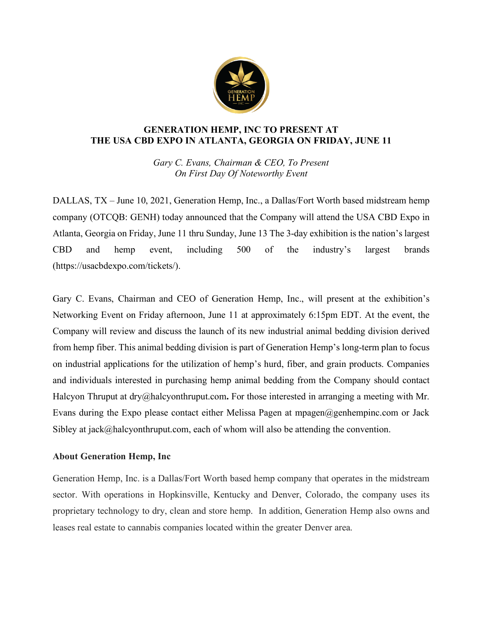

## **GENERATION HEMP, INC TO PRESENT AT THE USA CBD EXPO IN ATLANTA, GEORGIA ON FRIDAY, JUNE 11**

*Gary C. Evans, Chairman & CEO, To Present On First Day Of Noteworthy Event*

DALLAS, TX – June 10, 2021, Generation Hemp, Inc., a Dallas/Fort Worth based midstream hemp company (OTCQB: GENH) today announced that the Company will attend the USA CBD Expo in Atlanta, Georgia on Friday, June 11 thru Sunday, June 13 The 3-day exhibition is the nation's largest CBD and hemp event, including 500 of the industry's largest brands (https://usacbdexpo.com/tickets/).

Gary C. Evans, Chairman and CEO of Generation Hemp, Inc., will present at the exhibition's Networking Event on Friday afternoon, June 11 at approximately 6:15pm EDT. At the event, the Company will review and discuss the launch of its new industrial animal bedding division derived from hemp fiber. This animal bedding division is part of Generation Hemp's long-term plan to focus on industrial applications for the utilization of hemp's hurd, fiber, and grain products. Companies and individuals interested in purchasing hemp animal bedding from the Company should contact Halcyon Thruput at dry@halcyonthruput.com**.** For those interested in arranging a meeting with Mr. Evans during the Expo please contact either Melissa Pagen at mpagen@genhempinc.com or Jack Sibley at jack@halcyonthruput.com, each of whom will also be attending the convention.

## **About Generation Hemp, Inc**

Generation Hemp, Inc. is a Dallas/Fort Worth based hemp company that operates in the midstream sector. With operations in Hopkinsville, Kentucky and Denver, Colorado, the company uses its proprietary technology to dry, clean and store hemp. In addition, Generation Hemp also owns and leases real estate to cannabis companies located within the greater Denver area.